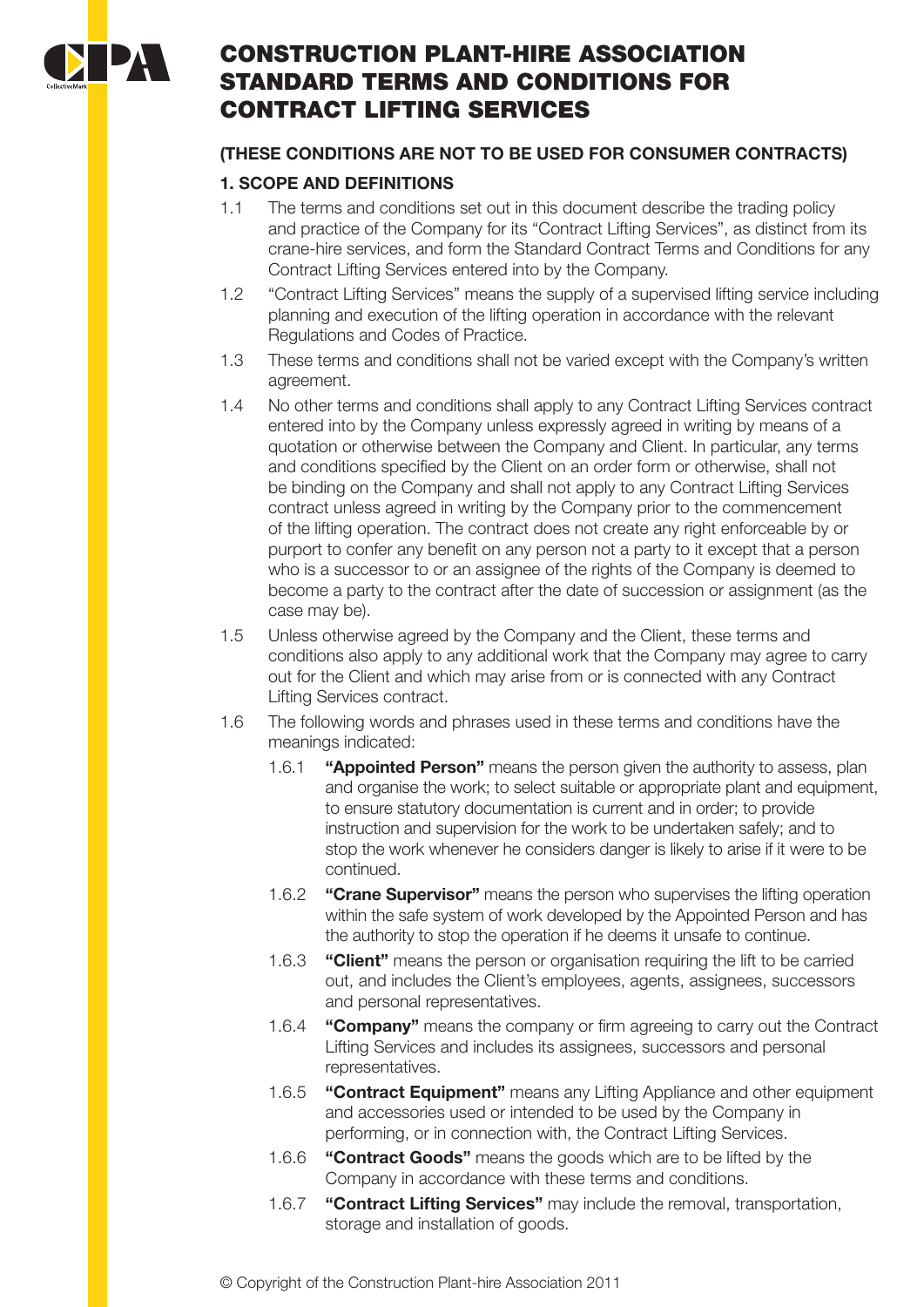

# CONSTRUCTION PLANT-HIRE ASSOCIATION STANDARD TERMS AND CONDITIONS FOR CONTRACT LIFTING SERVICES

# **(THESE CONDITIONS ARE NOT TO BE USED FOR CONSUMER CONTRACTS)**

# **1. SCOPE AND DEFINITIONS**

- 1.1 The terms and conditions set out in this document describe the trading policy and practice of the Company for its "Contract Lifting Services", as distinct from its crane-hire services, and form the Standard Contract Terms and Conditions for any Contract Lifting Services entered into by the Company.
- 1.2 "Contract Lifting Services" means the supply of a supervised lifting service including planning and execution of the lifting operation in accordance with the relevant Regulations and Codes of Practice.
- 1.3 These terms and conditions shall not be varied except with the Company's written agreement.
- 1.4 No other terms and conditions shall apply to any Contract Lifting Services contract entered into by the Company unless expressly agreed in writing by means of a quotation or otherwise between the Company and Client. In particular, any terms and conditions specified by the Client on an order form or otherwise, shall not be binding on the Company and shall not apply to any Contract Lifting Services contract unless agreed in writing by the Company prior to the commencement of the lifting operation. The contract does not create any right enforceable by or purport to confer any benefit on any person not a party to it except that a person who is a successor to or an assignee of the rights of the Company is deemed to become a party to the contract after the date of succession or assignment (as the case may be).
- 1.5 Unless otherwise agreed by the Company and the Client, these terms and conditions also apply to any additional work that the Company may agree to carry out for the Client and which may arise from or is connected with any Contract Lifting Services contract.
- 1.6 The following words and phrases used in these terms and conditions have the meanings indicated:
	- 1.6.1 **"Appointed Person"** means the person given the authority to assess, plan and organise the work; to select suitable or appropriate plant and equipment, to ensure statutory documentation is current and in order; to provide instruction and supervision for the work to be undertaken safely; and to stop the work whenever he considers danger is likely to arise if it were to be continued.
	- 1.6.2 **"Crane Supervisor"** means the person who supervises the lifting operation within the safe system of work developed by the Appointed Person and has the authority to stop the operation if he deems it unsafe to continue.
	- 1.6.3 **"Client"** means the person or organisation requiring the lift to be carried out, and includes the Client's employees, agents, assignees, successors and personal representatives.
	- 1.6.4 **"Company"** means the company or firm agreeing to carry out the Contract Lifting Services and includes its assignees, successors and personal representatives.
	- 1.6.5 **"Contract Equipment"** means any Lifting Appliance and other equipment and accessories used or intended to be used by the Company in performing, or in connection with, the Contract Lifting Services.
	- 1.6.6 **"Contract Goods"** means the goods which are to be lifted by the Company in accordance with these terms and conditions.
	- 1.6.7 **"Contract Lifting Services"** may include the removal, transportation, storage and installation of goods.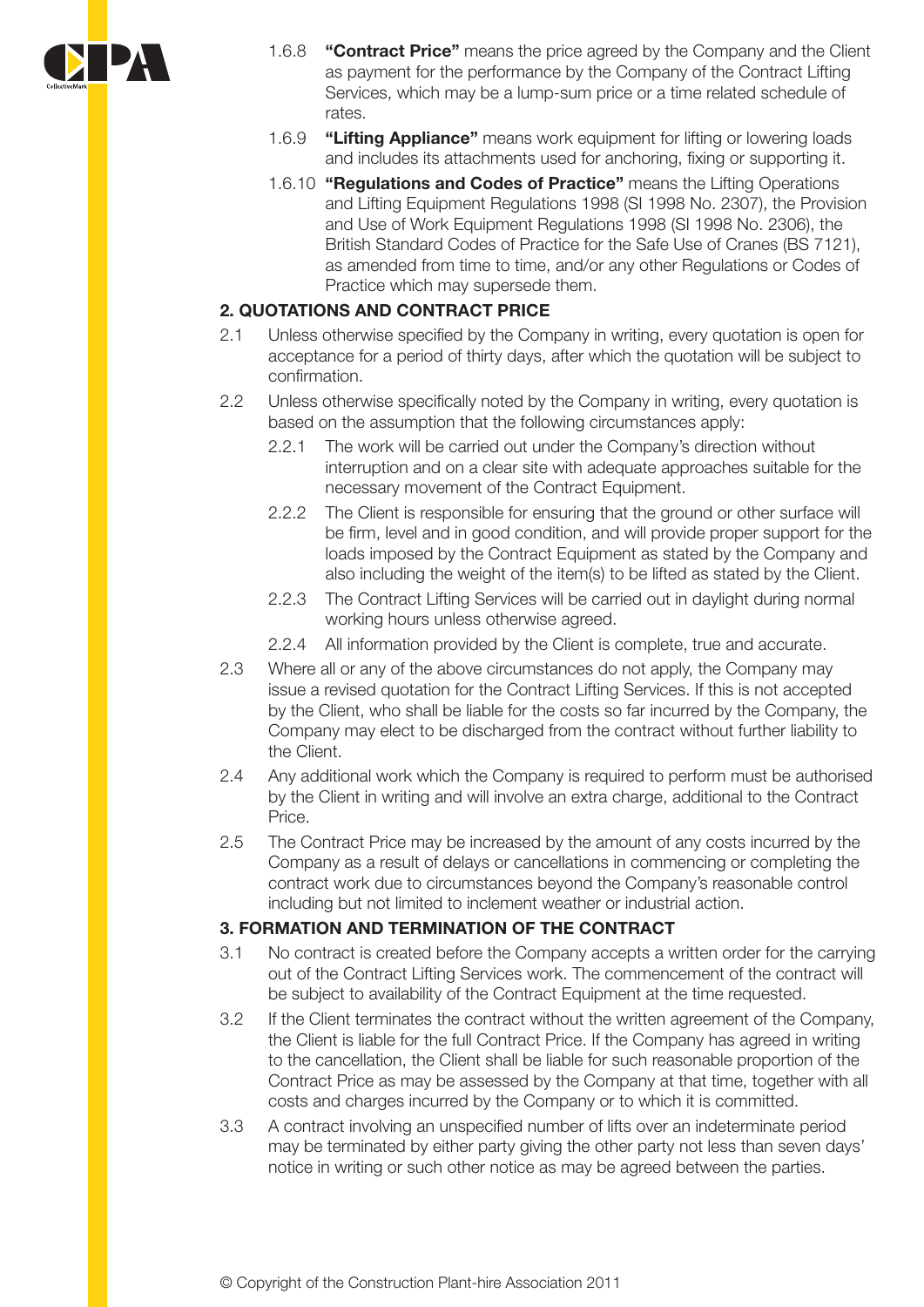

- 1.6.8 **"Contract Price"** means the price agreed by the Company and the Client as payment for the performance by the Company of the Contract Lifting Services, which may be a lump-sum price or a time related schedule of rates.
- 1.6.9 **"Lifting Appliance"** means work equipment for lifting or lowering loads and includes its attachments used for anchoring, fixing or supporting it.
- 1.6.10 **"Regulations and Codes of Practice"** means the Lifting Operations and Lifting Equipment Regulations 1998 (SI 1998 No. 2307), the Provision and Use of Work Equipment Regulations 1998 (SI 1998 No. 2306), the British Standard Codes of Practice for the Safe Use of Cranes (BS 7121), as amended from time to time, and/or any other Regulations or Codes of Practice which may supersede them.

#### **2. QUOTATIONS AND CONTRACT PRICE**

- 2.1 Unless otherwise specified by the Company in writing, every quotation is open for acceptance for a period of thirty days, after which the quotation will be subject to confirmation.
- 2.2 Unless otherwise specifically noted by the Company in writing, every quotation is based on the assumption that the following circumstances apply:
	- 2.2.1 The work will be carried out under the Company's direction without interruption and on a clear site with adequate approaches suitable for the necessary movement of the Contract Equipment.
	- 2.2.2 The Client is responsible for ensuring that the ground or other surface will be firm, level and in good condition, and will provide proper support for the loads imposed by the Contract Equipment as stated by the Company and also including the weight of the item(s) to be lifted as stated by the Client.
	- 2.2.3 The Contract Lifting Services will be carried out in daylight during normal working hours unless otherwise agreed.
	- 2.2.4 All information provided by the Client is complete, true and accurate.
- 2.3 Where all or any of the above circumstances do not apply, the Company may issue a revised quotation for the Contract Lifting Services. If this is not accepted by the Client, who shall be liable for the costs so far incurred by the Company, the Company may elect to be discharged from the contract without further liability to the Client.
- 2.4 Any additional work which the Company is required to perform must be authorised by the Client in writing and will involve an extra charge, additional to the Contract Price.
- 2.5 The Contract Price may be increased by the amount of any costs incurred by the Company as a result of delays or cancellations in commencing or completing the contract work due to circumstances beyond the Company's reasonable control including but not limited to inclement weather or industrial action.

#### **3. FORMATION AND TERMINATION OF THE CONTRACT**

- 3.1 No contract is created before the Company accepts a written order for the carrying out of the Contract Lifting Services work. The commencement of the contract will be subject to availability of the Contract Equipment at the time requested.
- 3.2 If the Client terminates the contract without the written agreement of the Company, the Client is liable for the full Contract Price. If the Company has agreed in writing to the cancellation, the Client shall be liable for such reasonable proportion of the Contract Price as may be assessed by the Company at that time, together with all costs and charges incurred by the Company or to which it is committed.
- 3.3 A contract involving an unspecified number of lifts over an indeterminate period may be terminated by either party giving the other party not less than seven days' notice in writing or such other notice as may be agreed between the parties.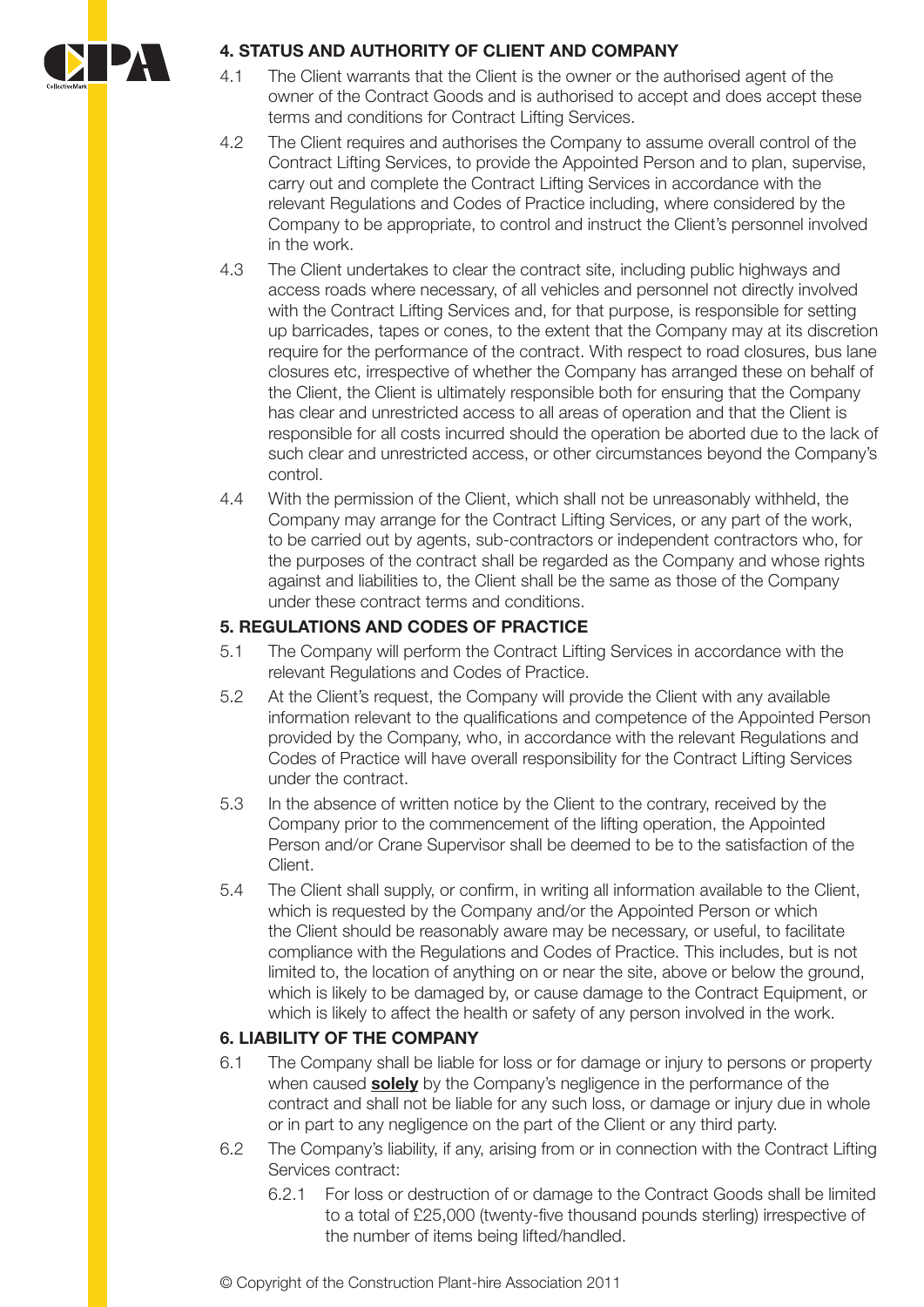

## **4. STATUS AND AUTHORITY OF CLIENT AND COMPANY**

- 4.1 The Client warrants that the Client is the owner or the authorised agent of the owner of the Contract Goods and is authorised to accept and does accept these terms and conditions for Contract Lifting Services.
- 4.2 The Client requires and authorises the Company to assume overall control of the Contract Lifting Services, to provide the Appointed Person and to plan, supervise, carry out and complete the Contract Lifting Services in accordance with the relevant Regulations and Codes of Practice including, where considered by the Company to be appropriate, to control and instruct the Client's personnel involved in the work.
- 4.3 The Client undertakes to clear the contract site, including public highways and access roads where necessary, of all vehicles and personnel not directly involved with the Contract Lifting Services and, for that purpose, is responsible for setting up barricades, tapes or cones, to the extent that the Company may at its discretion require for the performance of the contract. With respect to road closures, bus lane closures etc, irrespective of whether the Company has arranged these on behalf of the Client, the Client is ultimately responsible both for ensuring that the Company has clear and unrestricted access to all areas of operation and that the Client is responsible for all costs incurred should the operation be aborted due to the lack of such clear and unrestricted access, or other circumstances beyond the Company's control.
- 4.4 With the permission of the Client, which shall not be unreasonably withheld, the Company may arrange for the Contract Lifting Services, or any part of the work, to be carried out by agents, sub-contractors or independent contractors who, for the purposes of the contract shall be regarded as the Company and whose rights against and liabilities to, the Client shall be the same as those of the Company under these contract terms and conditions.

## **5. REGULATIONS AND CODES OF PRACTICE**

- 5.1 The Company will perform the Contract Lifting Services in accordance with the relevant Regulations and Codes of Practice.
- 5.2 At the Client's request, the Company will provide the Client with any available information relevant to the qualifications and competence of the Appointed Person provided by the Company, who, in accordance with the relevant Regulations and Codes of Practice will have overall responsibility for the Contract Lifting Services under the contract.
- 5.3 In the absence of written notice by the Client to the contrary, received by the Company prior to the commencement of the lifting operation, the Appointed Person and/or Crane Supervisor shall be deemed to be to the satisfaction of the Client.
- 5.4 The Client shall supply, or confirm, in writing all information available to the Client, which is requested by the Company and/or the Appointed Person or which the Client should be reasonably aware may be necessary, or useful, to facilitate compliance with the Regulations and Codes of Practice. This includes, but is not limited to, the location of anything on or near the site, above or below the ground, which is likely to be damaged by, or cause damage to the Contract Equipment, or which is likely to affect the health or safety of any person involved in the work.

## **6. LIABILITY OF THE COMPANY**

- 6.1 The Company shall be liable for loss or for damage or injury to persons or property when caused **solely** by the Company's negligence in the performance of the contract and shall not be liable for any such loss, or damage or injury due in whole or in part to any negligence on the part of the Client or any third party.
- 6.2 The Company's liability, if any, arising from or in connection with the Contract Lifting Services contract:
	- 6.2.1 For loss or destruction of or damage to the Contract Goods shall be limited to a total of £25,000 (twenty-five thousand pounds sterling) irrespective of the number of items being lifted/handled.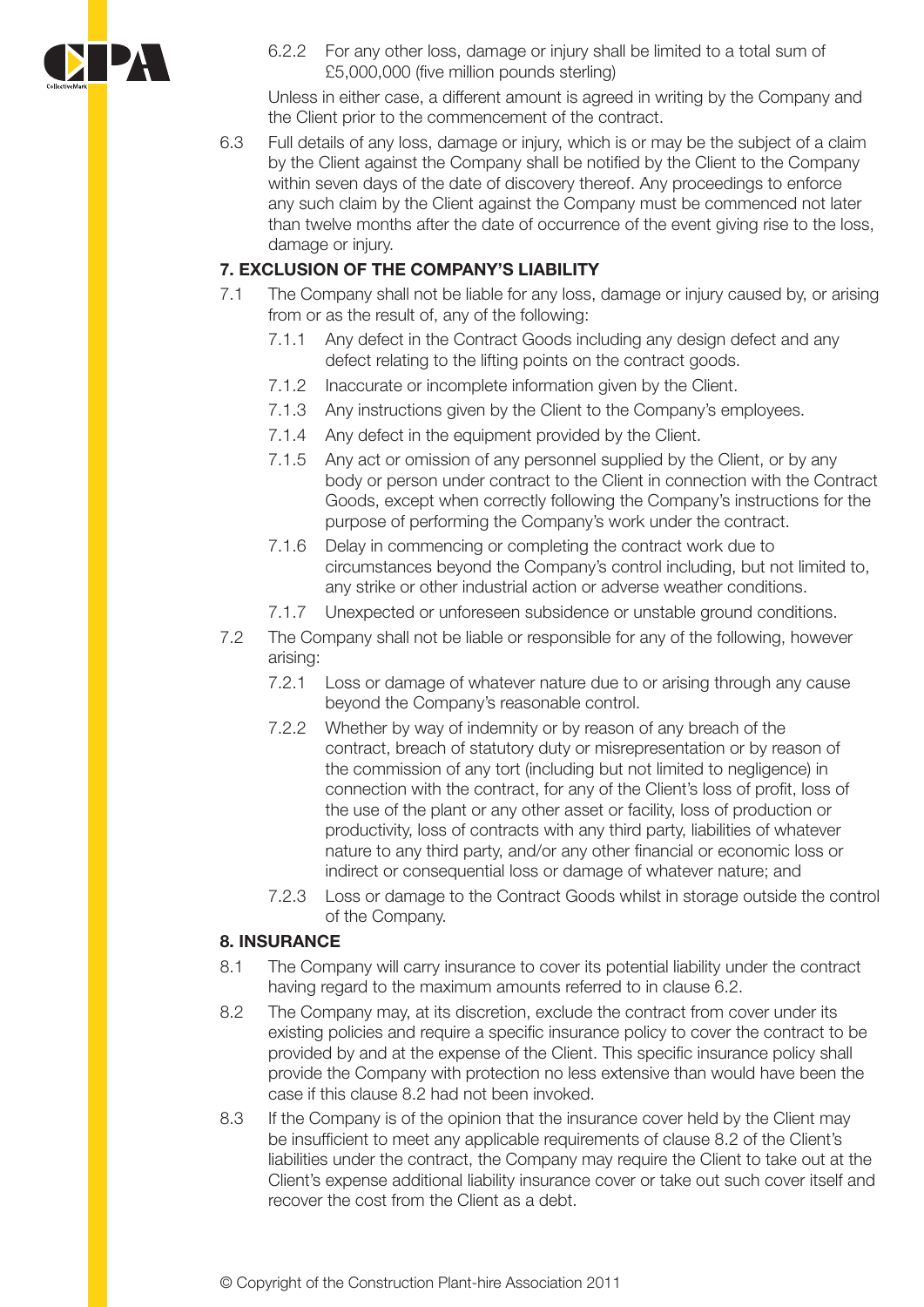

6.2.2 For any other loss, damage or injury shall be limited to a total sum of £5,000,000 (five million pounds sterling)

Unless in either case, a different amount is agreed in writing by the Company and the Client prior to the commencement of the contract.

6.3 Full details of any loss, damage or injury, which is or may be the subject of a claim by the Client against the Company shall be notified by the Client to the Company within seven days of the date of discovery thereof. Any proceedings to enforce any such claim by the Client against the Company must be commenced not later than twelve months after the date of occurrence of the event giving rise to the loss, damage or injury.

## **7. EXCLUSION OF THE COMPANY'S LIABILITY**

- 7.1 The Company shall not be liable for any loss, damage or injury caused by, or arising from or as the result of, any of the following:
	- 7.1.1 Any defect in the Contract Goods including any design defect and any defect relating to the lifting points on the contract goods.
	- 7.1.2 Inaccurate or incomplete information given by the Client.
	- 7.1.3 Any instructions given by the Client to the Company's employees.
	- 7.1.4 Any defect in the equipment provided by the Client.
	- 7.1.5 Any act or omission of any personnel supplied by the Client, or by any body or person under contract to the Client in connection with the Contract Goods, except when correctly following the Company's instructions for the purpose of performing the Company's work under the contract.
	- 7.1.6 Delay in commencing or completing the contract work due to circumstances beyond the Company's control including, but not limited to, any strike or other industrial action or adverse weather conditions.
	- 7.1.7 Unexpected or unforeseen subsidence or unstable ground conditions.
- 7.2 The Company shall not be liable or responsible for any of the following, however arising:
	- 7.2.1 Loss or damage of whatever nature due to or arising through any cause beyond the Company's reasonable control.
	- 7.2.2 Whether by way of indemnity or by reason of any breach of the contract, breach of statutory duty or misrepresentation or by reason of the commission of any tort (including but not limited to negligence) in connection with the contract, for any of the Client's loss of profit, loss of the use of the plant or any other asset or facility, loss of production or productivity, loss of contracts with any third party, liabilities of whatever nature to any third party, and/or any other financial or economic loss or indirect or consequential loss or damage of whatever nature; and
	- 7.2.3 Loss or damage to the Contract Goods whilst in storage outside the control of the Company.

#### **8. INSURANCE**

- 8.1 The Company will carry insurance to cover its potential liability under the contract having regard to the maximum amounts referred to in clause 6.2.
- 8.2 The Company may, at its discretion, exclude the contract from cover under its existing policies and require a specific insurance policy to cover the contract to be provided by and at the expense of the Client. This specific insurance policy shall provide the Company with protection no less extensive than would have been the case if this clause 8.2 had not been invoked.
- 8.3 If the Company is of the opinion that the insurance cover held by the Client may be insufficient to meet any applicable requirements of clause 8.2 of the Client's liabilities under the contract, the Company may require the Client to take out at the Client's expense additional liability insurance cover or take out such cover itself and recover the cost from the Client as a debt.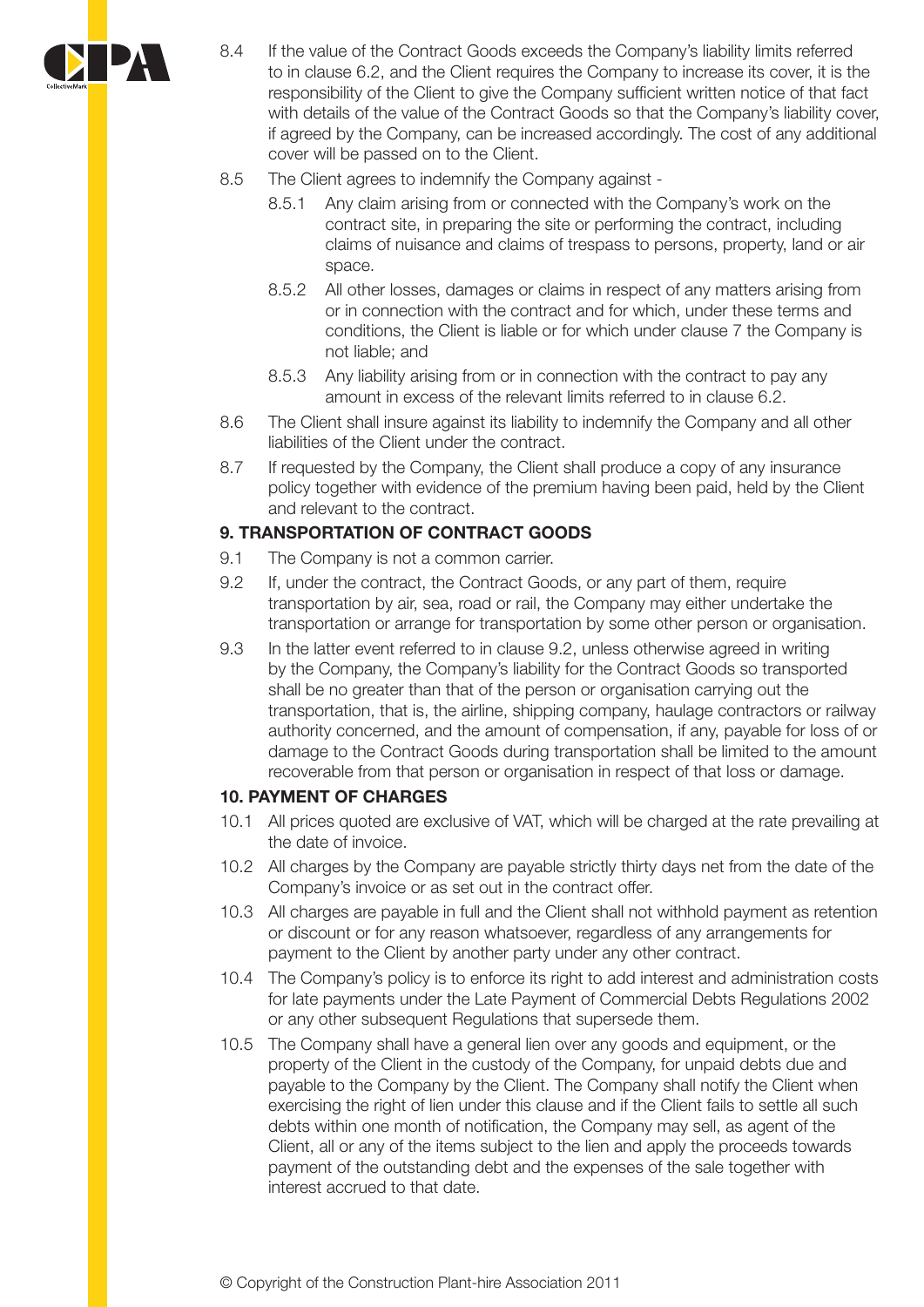

- 8.4 If the value of the Contract Goods exceeds the Company's liability limits referred to in clause 6.2, and the Client requires the Company to increase its cover, it is the responsibility of the Client to give the Company sufficient written notice of that fact with details of the value of the Contract Goods so that the Company's liability cover, if agreed by the Company, can be increased accordingly. The cost of any additional cover will be passed on to the Client.
- 8.5 The Client agrees to indemnify the Company against
	- 8.5.1 Any claim arising from or connected with the Company's work on the contract site, in preparing the site or performing the contract, including claims of nuisance and claims of trespass to persons, property, land or air space.
	- 8.5.2 All other losses, damages or claims in respect of any matters arising from or in connection with the contract and for which, under these terms and conditions, the Client is liable or for which under clause 7 the Company is not liable; and
	- 8.5.3 Any liability arising from or in connection with the contract to pay any amount in excess of the relevant limits referred to in clause 6.2.
- 8.6 The Client shall insure against its liability to indemnify the Company and all other liabilities of the Client under the contract.
- 8.7 If requested by the Company, the Client shall produce a copy of any insurance policy together with evidence of the premium having been paid, held by the Client and relevant to the contract.

## **9. TRANSPORTATION OF CONTRACT GOODS**

- 9.1 The Company is not a common carrier.
- 9.2 If, under the contract, the Contract Goods, or any part of them, require transportation by air, sea, road or rail, the Company may either undertake the transportation or arrange for transportation by some other person or organisation.
- 9.3 In the latter event referred to in clause 9.2, unless otherwise agreed in writing by the Company, the Company's liability for the Contract Goods so transported shall be no greater than that of the person or organisation carrying out the transportation, that is, the airline, shipping company, haulage contractors or railway authority concerned, and the amount of compensation, if any, payable for loss of or damage to the Contract Goods during transportation shall be limited to the amount recoverable from that person or organisation in respect of that loss or damage.

## **10. PAYMENT OF CHARGES**

- 10.1 All prices quoted are exclusive of VAT, which will be charged at the rate prevailing at the date of invoice.
- 10.2 All charges by the Company are payable strictly thirty days net from the date of the Company's invoice or as set out in the contract offer.
- 10.3 All charges are payable in full and the Client shall not withhold payment as retention or discount or for any reason whatsoever, regardless of any arrangements for payment to the Client by another party under any other contract.
- 10.4 The Company's policy is to enforce its right to add interest and administration costs for late payments under the Late Payment of Commercial Debts Regulations 2002 or any other subsequent Regulations that supersede them.
- 10.5 The Company shall have a general lien over any goods and equipment, or the property of the Client in the custody of the Company, for unpaid debts due and payable to the Company by the Client. The Company shall notify the Client when exercising the right of lien under this clause and if the Client fails to settle all such debts within one month of notification, the Company may sell, as agent of the Client, all or any of the items subject to the lien and apply the proceeds towards payment of the outstanding debt and the expenses of the sale together with interest accrued to that date.